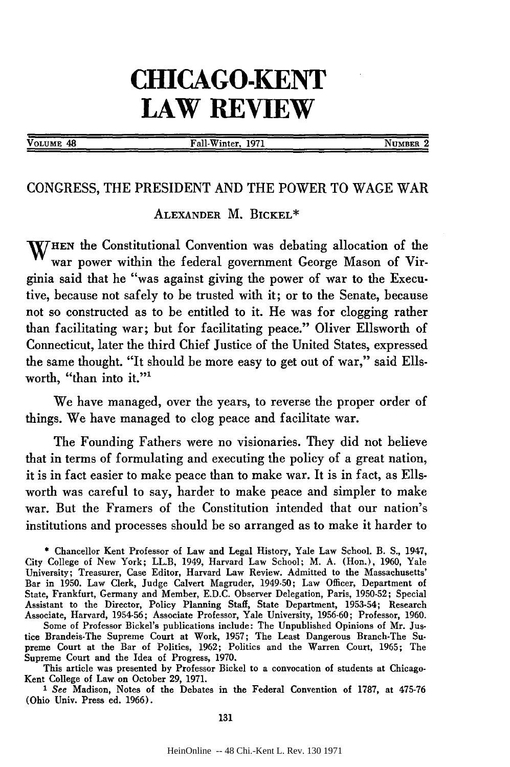VOLUME 48 Fall-Winter, 1971 **NUMBER** 2

## **CONGRESS,** THE PRESIDENT **AND** THE POWER TO **WAGE** WAR

ALEXANDER M. BICKEL\*

W<sup>HEN</sup> the Constitutional Convention was debating allocation of the war power within the federal government George Mason of Virginia said that he "was against giving the power of war to the Executive, because not safely to be trusted with it; or to the Senate, because not so constructed as to be entitled to it. He was for clogging rather than facilitating war; but for facilitating peace." Oliver Ellsworth of Connecticut, later the third Chief Justice of the United States, expressed the same thought. "It should be more easy to get out of war," said Ellsworth, "than into it."<sup>1</sup>

We have managed, over the years, to reverse the proper order of things. We have managed to clog peace and facilitate war.

The Founding Fathers were no visionaries. They did not believe that in terms of formulating and executing the policy of a great nation, it is in fact easier to make peace than to make war. It is in fact, as Ellsworth was careful to say, harder to make peace and simpler to make war. But the Framers of the Constitution intended that our nation's institutions and processes should be so arranged as to make it harder to

This article was presented by Professor Bickel to a convocation of students at Chicago-Kent College of Law on October 29, 1971.

<sup>1</sup> See Madison, Notes of the Debates in the Federal Convention of 1787, at 475-76 (Ohio Univ. Press ed. 1966).

**<sup>\*</sup>** Chancellor Kent Professor of Law and Legal History, Yale Law School. B. S., 1947, City College of New York; LL.B, 1949, Harvard Law School; M. A. (Hon.), 1960, Yale University; Treasurer, Case Editor, Harvard Law Review. Admitted to the Massachusetts' Bar in 1950. Law Clerk, Judge Calvert Magruder, 1949-50; Law Officer, Department of State, Frankfurt, Germany and Member, E.D.C. Observer Delegation, Paris, 1950-52; Special Assistant to the Director, Policy Planning Staff, State Department, 1953-54; Research Associate, Harvard, 1954-56; Associate Professor, Yale University, 1956-60; Professor, 1960.

Some of Professor Bickel's publications include: The Unpublished Opinions of Mr. Justice Brandeis-The Supreme Court at Work, 1957; The Least Dangerous Branch-The Supreme Court at the Bar of Politics, 1962; Politics and the Warren Court, 1965; The Supreme Court and the Idea of Progress, 1970.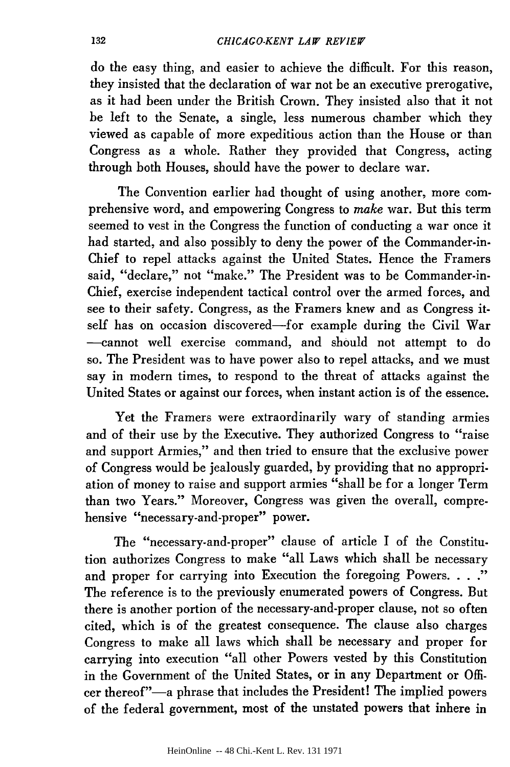do the easy thing, and easier to achieve the difficult. For this reason, they insisted that the declaration of war not be an executive prerogative, as it had been under the British Crown. They insisted also that it not be left to the Senate, a single, less numerous chamber which they viewed as capable of more expeditious action than the House or than Congress as a whole. Rather they provided that Congress, acting through both Houses, should have the power to declare war.

The Convention earlier had thought of using another, more comprehensive word, and empowering Congress to *make* war. But this term seemed to vest in the Congress the function of conducting a war once it had started, and also possibly to deny the power of the Commander-in-Chief to repel attacks against the United States. Hence the Framers said, "declare," not "make." The President was to be Commander-in-Chief, exercise independent tactical control over the armed forces, and see to their safety. Congress, as the Framers knew and as Congress itself has on occasion discovered-for example during the Civil War -cannot well exercise command, and should not attempt to do so. The President was to have power also to repel attacks, and we must say in modern times, to respond to the threat of attacks against the United States or against our forces, when instant action is of the essence.

Yet the Framers were extraordinarily wary of standing armies and of their use by the Executive. They authorized Congress to "raise and support Armies," and then tried to ensure that the exclusive power of Congress would be jealously guarded, by providing that no appropriation of money to raise and support armies "shall be for a longer Term than two Years." Moreover, Congress was given the overall, comprehensive "necessary-and-proper" power.

The "necessary-and-proper" clause of article I of the Constitution authorizes Congress to make "all Laws which shall be necessary and proper for carrying into Execution the foregoing Powers. . . ." The reference is to the previously enumerated powers of Congress. But there is another portion of the necessary-and-proper clause, not so often cited, which is of the greatest consequence. The clause also charges Congress to make all laws which shall be necessary and proper for carrying into execution "all other Powers vested by this Constitution in the Government of the United States, or in any Department or Officer thereof"-a phrase that includes the President! The implied powers of the federal government, most of the unstated powers that inhere in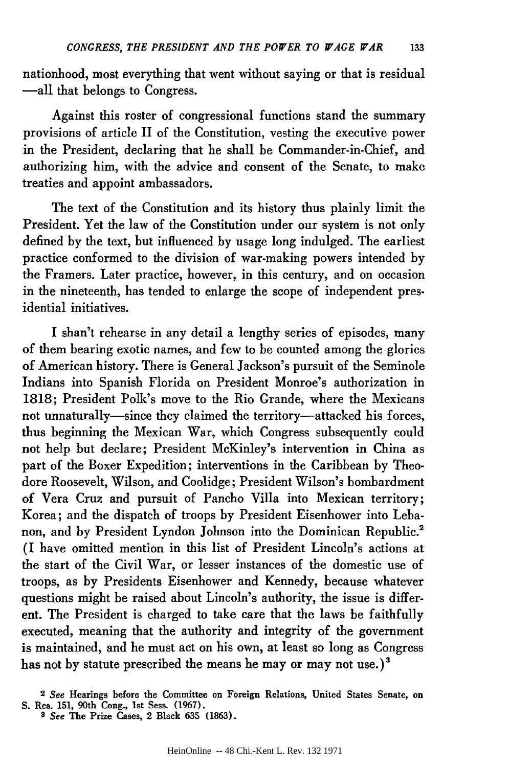nationhood, most everything that went without saying or that is residual -all that belongs to Congress.

Against this roster of congressional functions stand the summary provisions of article II of the Constitution, vesting the executive power in the President, declaring that he shall be Commander-in-Chief, and authorizing him, with the advice and consent of the Senate, to make treaties and appoint ambassadors.

The text of the Constitution and its history thus plainly limit the President. Yet the law of the Constitution under our system is not only defined by the text, but influenced by usage long indulged. The earliest practice conformed to the division of war-making powers intended by the Framers. Later practice, however, in this century, and on occasion in the nineteenth, has tended to enlarge the scope of independent presidential initiatives.

I shan't rehearse in any detail a lengthy series of episodes, many of them bearing exotic names, and few to be counted among the glories of American history. There is General Jackson's pursuit of the Seminole Indians into Spanish Florida on President Monroe's authorization in 1818; President Polk's move to the Rio Grande, where the Mexicans not unnaturally-since they claimed the territory-attacked his forces, thus beginning the Mexican War, which Congress subsequently could not help but declare; President McKinley's intervention in China as part of the Boxer Expedition; interventions in the Caribbean by Theodore Roosevelt, Wilson, and Coolidge; President Wilson's bombardment of Vera Cruz and pursuit of Pancho Villa into Mexican territory; Korea; and the dispatch of troops by President Eisenhower into Lebanon, and by President Lyndon Johnson into the Dominican Republic.<sup>2</sup> (I have omitted mention in this list of President Lincoln's actions at the start of the Civil War, or lesser instances of the domestic use of troops, as by Presidents Eisenhower and Kennedy, because whatever questions might be raised about Lincoln's authority, the issue is different. The President is charged to take care that the laws be faithfully executed, meaning that the authority and integrity of the government is maintained, and he must act on his own, at least so long as Congress has not by statute prescribed the means he may or may not use.)<sup>3</sup>

**2** *See* Hearings before the Committee on Foreign Relations, United States Senate, on **S.** Res. **151,** 90th Cong., 1st Sess. **(1967).**

*<sup>8</sup>See* The Prize Cases, 2 Black **635 (1863).**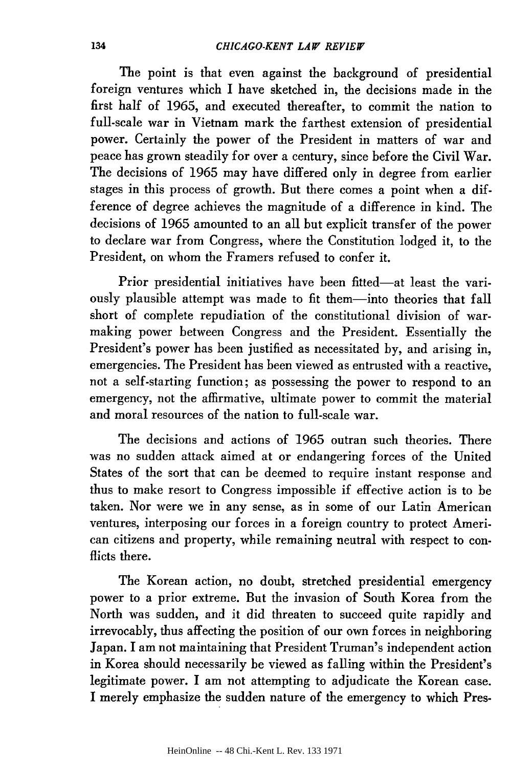The point is that even against the background of presidential foreign ventures which I have sketched in, the decisions made in the first half of 1965, and executed thereafter, to commit the nation to full-scale war in Vietnam mark the farthest extension of presidential power. Certainly the power of the President in matters of war and peace has grown steadily for over a century, since before the Civil War. The decisions of 1965 may have differed only in degree from earlier stages in this process of growth. But there comes a point when a difference of degree achieves the magnitude of a difference in kind. The decisions of 1965 amounted to an all but explicit transfer of the power to declare war from Congress, where the Constitution lodged it, to the President, on whom the Framers refused to confer it.

Prior presidential initiatives have been fitted-at least the variously plausible attempt was made to fit them-into theories that fall short of complete repudiation of the constitutional division of warmaking power between Congress and the President. Essentially the President's power has been justified as necessitated by, and arising in, emergencies. The President has been viewed as entrusted with a reactive, not a self-starting function; as possessing the power to respond to an emergency, not the affirmative, ultimate power to commit the material and moral resources of the nation to full-scale war.

The decisions and actions of 1965 outran such theories. There was no sudden attack aimed at or endangering forces of the United States of the sort that can be deemed to require instant response and thus to make resort to Congress impossible if effective action is to be taken. Nor were we in any sense, as in some of our Latin American ventures, interposing our forces in a foreign country to protect American citizens and property, while remaining neutral with respect to conflicts there.

The Korean action, no doubt, stretched presidential emergency power to a prior extreme. But the invasion of South Korea from the North was sudden, and it did threaten to succeed quite rapidly and irrevocably, thus affecting the position of our own forces in neighboring Japan. I am not maintaining that President Truman's independent action in Korea should necessarily be viewed as falling within the President's legitimate power. I am not attempting to adjudicate the Korean case. I merely emphasize the sudden nature of the emergency to which Pres-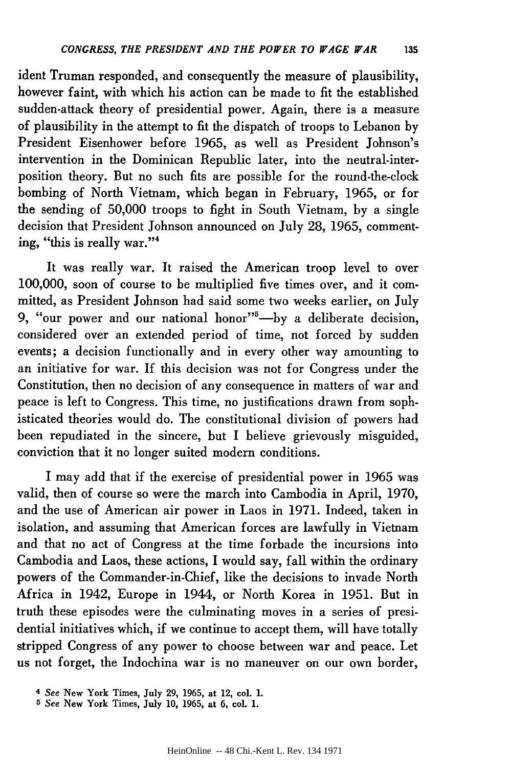135

ident Truman responded, and consequently the measure of plausibility, however faint, with which his action can be made to fit the established sudden-attack theory of presidential power. Again, there is a measure of plausibility in the attempt to fit the dispatch of troops to Lebanon by President Eisenhower before 1965, as well as President Johnson's intervention in the Dominican Republic later, into the neutral-interposition theory. But no such fits are possible for the round-the-clock bombing of North Vietnam, which began in February, 1965, or for the sending of 50,000 troops to fight in South Vietnam, by a single decision that President Johnson announced on July 28, 1965, commenting, "this is really war."<sup>4</sup>

It was really war. It raised the American troop level to over 100,000, soon of course to be multiplied five times over, and it committed, as President Johnson had said some two weeks earlier, on July 9, "our power and our national honor"<sup>5</sup>—by a deliberate decision, considered over an extended period of time, not forced by sudden events; a decision functionally and in every other way amounting to an initiative for war. If this decision was not for Congress under the Constitution, then no decision of any consequence in matters of war and peace is left to Congress. This time, no justifications drawn from sophisticated theories would do. The constitutional division of powers had been repudiated in the sincere, but I believe grievously misguided, conviction that it no longer suited modern conditions.

I may add that if the exercise of presidential power in 1965 was valid, then of course so were the march into Cambodia in April, 1970, and the use of American air power in Laos in 1971. Indeed, taken in isolation, and assuming that American forces are lawfully in Vietnam and that no act of Congress at the time forbade the incursions into Cambodia and Laos, these actions, I would say, fall within the ordinary powers of the Commander-in-Chief, like the decisions to invade North Africa in 1942, Europe in 1944, or North Korea in 1951. But in truth these episodes were the culminating moves in a series of presidential initiatives which, if we continue to accept them, will have totally stripped Congress of any power to choose between war and peace. Let us not forget, the Indochina war is no maneuver on our own border,

*<sup>4</sup> See* New York Times, July **29, 1965,** at 12, col. 1.

<sup>5</sup>*See* New York Times, July **10,** 1965, at 6, col. 1.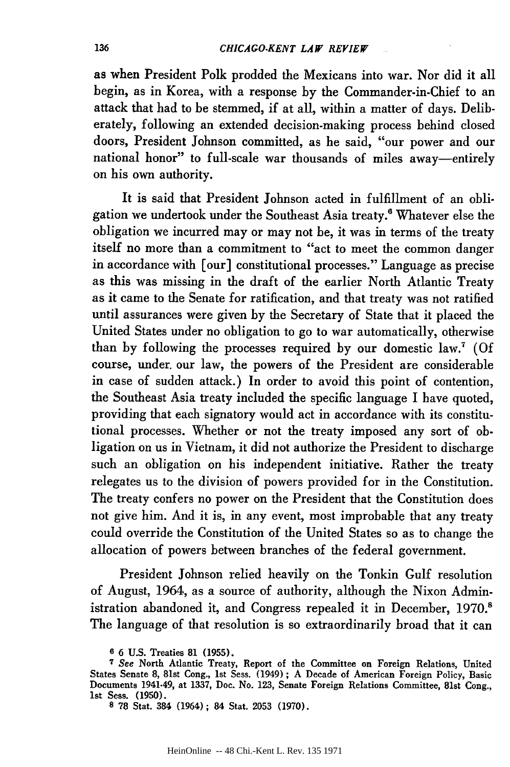as when President Polk prodded the Mexicans into war. Nor did it all begin, as in Korea, with a response by the Commander-in-Chief to an attack that had to be stemmed, if at all, within a matter of days. Deliberately, following an extended decision-making process behind closed doors, President Johnson committed, as he said, "our power and our national honor" to full-scale war thousands of miles away-entirely on his own authority.

It is said that President Johnson acted in fulfillment of an obligation we undertook under the Southeast Asia treaty. 6 Whatever else the obligation we incurred may or may not be, it was in terms of the treaty itself no more than a commitment to "act to meet the common danger in accordance with [our] constitutional processes." Language as precise as this was missing in the draft of the earlier North Atlantic Treaty as it came to the Senate for ratification, and that treaty was not ratified until assurances were given by the Secretary of State that it placed the United States under no obligation to go to war automatically, otherwise than by following the processes required by our domestic law.7 (Of course, under, our law, the powers of the President are considerable in case of sudden attack.) In order to avoid this point of contention, the Southeast Asia treaty included the specific language I have quoted, providing that each signatory would act in accordance with its constitutional processes. Whether or not the treaty imposed any sort of obligation on us in Vietnam, it did not authorize the President to discharge such an obligation on his independent initiative. Rather the treaty relegates us to the division of powers provided for in the Constitution. The treaty confers no power on the President that the Constitution does not give him. And it is, in any event, most improbable that any treaty could override the Constitution of the United States so as to change the allocation of powers between branches of the federal government.

President Johnson relied heavily on the Tonkin Gulf resolution of August, 1964, as a source of authority, although the Nixon Administration abandoned it, and Congress repealed it in December, 1970.<sup>8</sup> The language of that resolution is so extraordinarily broad that it can

136

**<sup>8</sup>**6 **U.S.** Treaties 81 **(1955).**

*<sup>7</sup>t See* North Atlantic Treaty, Report of the Committee on Foreign Relations, United States Senate 8, 81st Cong., 1st Sess. (1949); A Decade of American Foreign Policy, Basic Documents 1941-49, at 1337, Doe. No. 123, Senate Foreign Relations Committee, 81st Cong., 1st Sess. (1950).

**<sup>8</sup>**78 Stat. 384 (1964); 84 Stat. 2053 (1970).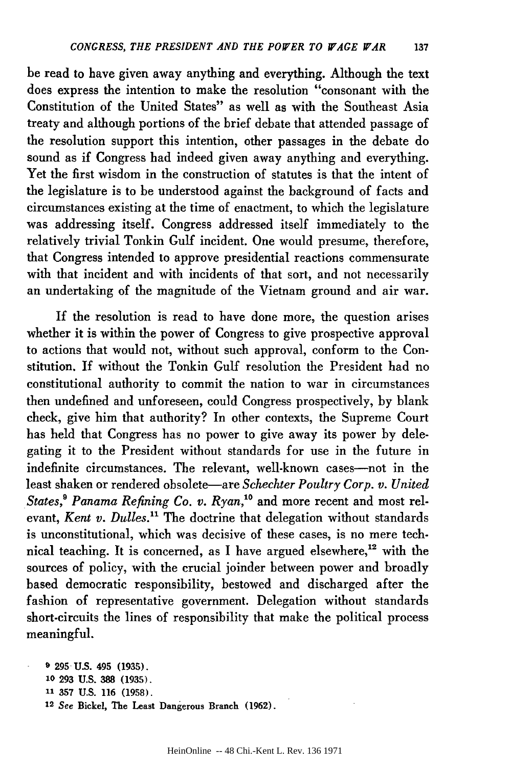be read to have given away anything and everything. Although the text does express the intention to make the resolution "consonant with the Constitution of the United States" as well as with the Southeast Asia treaty and although portions of the brief debate that attended passage of the resolution support this intention, other passages in the debate do sound as if Congress had indeed given away anything and everything. Yet the first wisdom in the construction of statutes is that the intent of the legislature is to be understood against the background of facts and circumstances existing at the time of enactment, to which the legislature was addressing itself. Congress addressed itself immediately to the relatively trivial Tonkin Gulf incident. One would presume, therefore, that Congress intended to approve presidential reactions commensurate with that incident and with incidents of that sort, and not necessarily an undertaking of the magnitude of the Vietnam ground and air war.

If the resolution is read to have done more, the question arises whether it is within the power of Congress to give prospective approval to actions that would not, without such approval, conform to the Constitution. If without the Tonkin Gulf resolution the President had no constitutional authority to commit the nation to war in circumstances then undefined and unforeseen, could Congress prospectively, by blank check, give him that authority? In other contexts, the Supreme Court has held that Congress has no power to give away its power **by** delegating it to the President without standards for use in the future in indefinite circumstances. The relevant, well-known cases-not in the least shaken or rendered obsolete-are *Schechter Poultry Corp. v. United States,9 Panama Refining Co. v. Ryan,"0* and more recent and most relevant, *Kent v. Dulles."* The doctrine that delegation without standards is unconstitutional, which was decisive of these cases, is no mere technical teaching. It is concerned, as I have argued elsewhere,<sup>12</sup> with the sources of policy, with the crucial joinder between power and broadly based democratic responsibility, bestowed and discharged after the fashion of representative government. Delegation without standards short-circuits the lines of responsibility that make the political process meaningful.

**295 U.S.** 495 **(1935). 293 U.S.** 388 **(1935).** u 357 **U.S. 116** (1958). *See* Bickel, The Least Dangerous Branch (1962).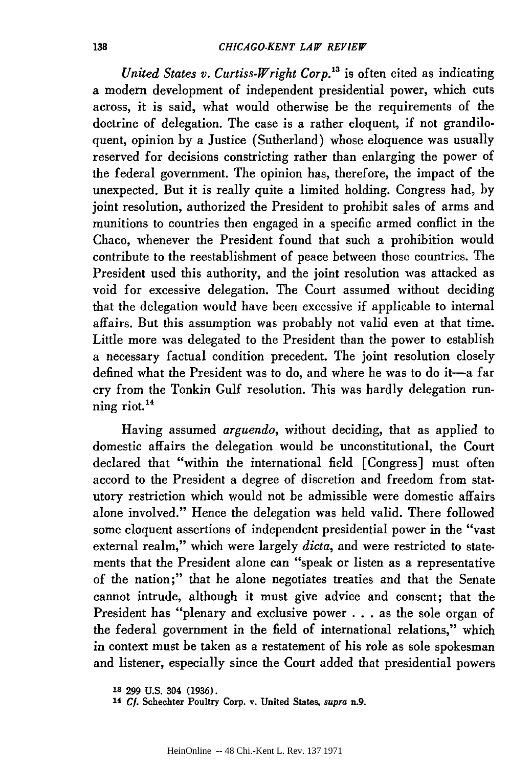*United States v. Curtiss-Wright Corp.*<sup>13</sup> is often cited as indicating a modem development of independent presidential power, which cuts across, it is said, what would otherwise be the requirements of the doctrine of delegation. The case is a rather eloquent, if not grandiloquent, opinion by a Justice (Sutherland) whose eloquence was usually reserved for decisions constricting rather than enlarging the power of the federal government. The opinion has, therefore, the impact of the unexpected. But it is really quite a limited holding. Congress had, by joint resolution, authorized the President to prohibit sales of arms and munitions to countries then engaged in a specific armed conflict in the Chaco, whenever the President found that such a prohibition would contribute to the reestablishment of peace between those countries. The President used this authority, and the joint resolution was attacked as void for excessive delegation. The Court assumed without deciding that the delegation would have been excessive if applicable to internal affairs. But this assumption was probably not valid even at that time. Little more was delegated to the President than the power to establish a necessary factual condition precedent. The joint resolution closely defined what the President was to do, and where he was to do it-a far cry from the Tonkin Gulf resolution. This was hardly delegation running riot.<sup>14</sup>

Having assumed *arguendo,* without deciding, that as applied to domestic affairs the delegation would be unconstitutional, the Court declared that "within the international field [Congress] must often accord to the President a degree of discretion and freedom from statutory restriction which would not be admissible were domestic affairs alone involved." Hence the delegation was held valid. There followed some eloquent assertions of independent presidential power in the "vast external realm," which were largely *dicta,* and were restricted to statements that the President alone can "speak or listen as a representative of the nation;" that he alone negotiates treaties and that the Senate cannot intrude, although it must give advice and consent; that the President has "plenary and exclusive power . **.** . as the sole organ of the federal government in the field of international relations," which in context must be taken as a restatement of his role as sole spokesman and listener, especially since the Court added that presidential powers

**<sup>13</sup> 299 U.S.** 304 **(1936).**

**<sup>14</sup>** *Cf.* Schechter Poultry Corp. v. United States, *supra* n.9.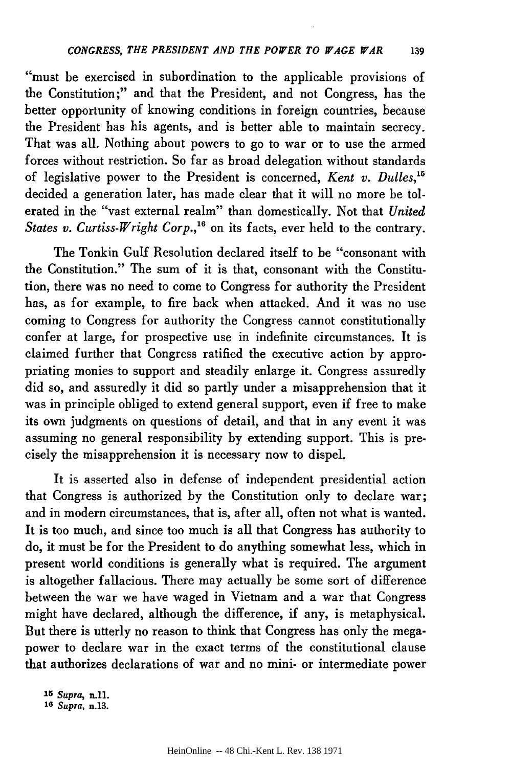"must be exercised in subordination to the applicable provisions of the Constitution;" and that the President, and not Congress, has the better opportunity of knowing conditions in foreign countries, because the President has his agents, and is better able to maintain secrecy. That was all. Nothing about powers to go to war or to use the armed forces without restriction. So far as broad delegation without standards of legislative power to the President is concerned, *Kent v. Dulles*,<sup>15</sup> decided a generation later, has made clear that it will no more be tolerated in the "vast external realm" than domestically. Not that *United States v. Curtiss-Wright Corp.*,<sup>16</sup> on its facts, ever held to the contrary.

The Tonkin Gulf Resolution declared itself to be "consonant with the Constitution." The sum of it is that, consonant with the Constitution, there was no need to come to Congress for authority the President has, as for example, to fire back when attacked. And it was no use coming to Congress for authority the Congress cannot constitutionally confer at large, for prospective use in indefinite circumstances. It is claimed further that Congress ratified the executive action by appropriating monies to support and steadily enlarge it. Congress assuredly did so, and assuredly it did so partly under a misapprehension that it was in principle obliged to extend general support, even if free to make its own judgments on questions of detail, and that in any event it was assuming no general responsibility by extending support. This is precisely the misapprehension it is necessary now to dispel.

It is asserted also in defense of independent presidential action that Congress is authorized by the Constitution only to declare war; and in modern circumstances, that is, after all, often not what is wanted. It is too much, and since too much is all that Congress has authority to do, it must be for the President to do anything somewhat less, which in present world conditions is generally what is required. The argument is altogether fallacious. There may actually be some sort of difference between the war we have waged in Vietnam and a war that Congress might have declared, although the difference, if any, is metaphysical. But there is utterly no reason to think that Congress has only the megapower to declare war in the exact terms of the constitutional clause that authorizes declarations of war and no mini- or intermediate power

**15** *Supra,* **n.11. 16** *Supra,* **n.13.**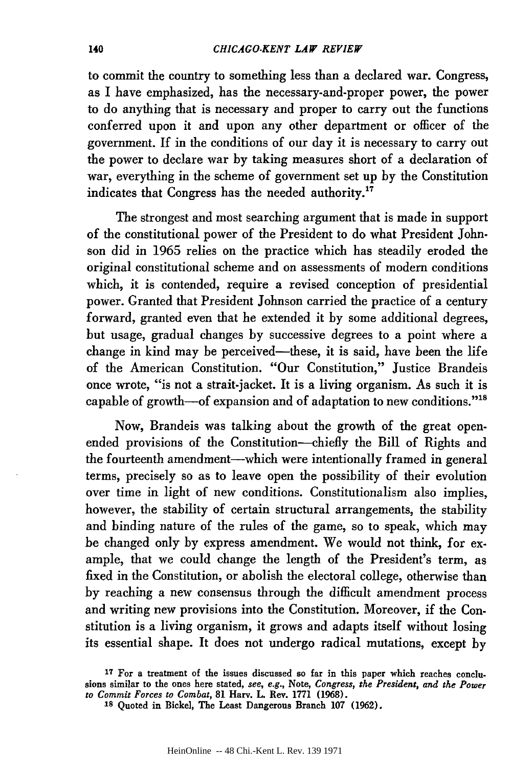to commit the country to something less than a declared war. Congress, as I have emphasized, has the necessary-and-proper power, the power to do anything that is necessary and proper to carry out the functions conferred upon it and upon any other department or officer of the government. If in the conditions of our day it is necessary to carry out the power to declare war by taking measures short of a declaration of war, everything in the scheme of government set up by the Constitution indicates that Congress has the needed authority.<sup>17</sup>

The strongest and most searching argument that is made in support of the constitutional power of the President to do what President Johnson did in 1965 relies on the practice which has steadily eroded the original constitutional scheme and on assessments of modern conditions which, it is contended, require a revised conception of presidential power. Granted that President Johnson carried the practice of a century forward, granted even that he extended it by some additional degrees, but usage, gradual changes by successive degrees to a point where a change in kind may be perceived-these, it is said, have been the life of the American Constitution. "Our Constitution," Justice Brandeis once wrote, "is not a strait-jacket. It is a living organism. As such it is capable of growth-of expansion and of adaptation to new conditions."<sup>18</sup>

Now, Brandeis was talking about the growth of the great openended provisions of the Constitution-chiefly the Bill of Rights and the fourteenth amendment-which were intentionally framed in general terms, precisely so as to leave open the possibility of their evolution over time in light of new conditions. Constitutionalism also implies, however, the stability of certain structural arrangements, the stability and binding nature of the rules of the game, so to speak, which may be changed only by express amendment. We would not think, for ex. ample, that we could change the length of the President's term, as fixed in the Constitution, or abolish the electoral college, otherwise than by reaching a new consensus through the difficult amendment process and writing new provisions into the Constitution. Moreover, if the Constitution is a living organism, it grows and adapts itself without losing its essential shape. It does not undergo radical mutations, except by

**<sup>17</sup>** For a treatment of the issues discussed so far in this paper which reaches conclusions similar to the ones here stated, see, e.g., *Note, Congress, the President, and the Power to Commit Forces to Combat,* 81 Harv. L. Rev. 1771 (1968).

**Is** Quoted in Bickel, The Least Dangerous Branch 107 (1962).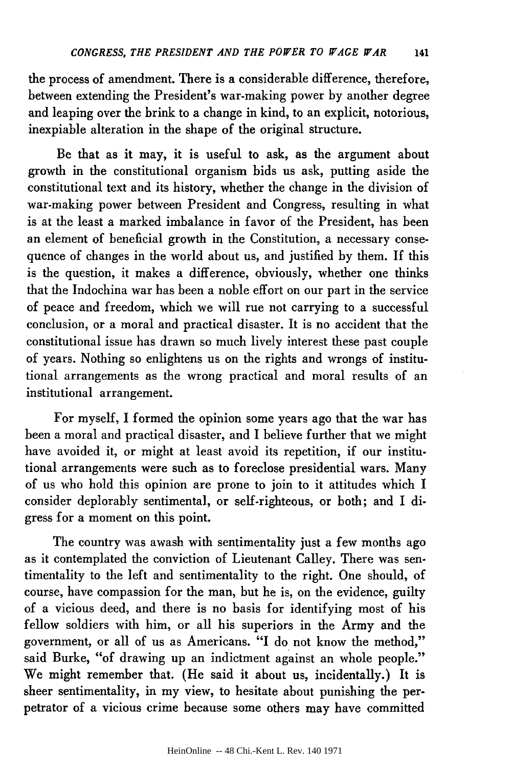the process of amendment. There is a considerable difference, therefore, between extending the President's war-making power by another degree and leaping over the brink to a change in kind, to an explicit, notorious, inexpiable alteration in the shape of the original structure.

Be that as it may, it is useful to ask, as the argument about growth in the constitutional organism bids us ask, putting aside the constitutional text and its history, whether the change in the division of war-making power between President and Congress, resulting in what is at the least a marked imbalance in favor of the President, has been an element of beneficial growth in the Constitution, a necessary consequence of changes in the world about us, and justified by them. If this is the question, it makes a difference, obviously, whether one thinks that the Indochina war has been a noble effort on our part in the service of peace and freedom, which we will rue not carrying to a successful conclusion, or a moral and practical disaster. It is no accident that the constitutional issue has drawn so much lively interest these past couple of years. Nothing so enlightens us on the rights and wrongs of institutional arrangements as the wrong practical and moral results of an institutional arrangement.

For myself, I formed the opinion some years ago that the war has been a moral and practical disaster, and I believe further that we might have avoided it, or might at least avoid its repetition, if our institutional arrangements were such as to foreclose presidential wars. Many of us who hold this opinion are prone to join to it attitudes which I consider deplorably sentimental, or self-righteous, or both; and I digress for a moment on this point.

The country was awash with sentimentality just a few months ago as it contemplated the conviction of Lieutenant Calley. There was sentimentality to the left and sentimentality to the right. One should, of course, have compassion for the man, but he is, on the evidence, guilty of a vicious deed, and there is no basis for identifying most of his fellow soldiers with him, or all his superiors in the Army and the government, or all of us as Americans. "I do not know the method," said Burke, "of drawing up an indictment against an whole people." We might remember that. (He said it about us, incidentally.) It is sheer sentimentality, in my view, to hesitate about punishing the perpetrator of a vicious crime because some others may have committed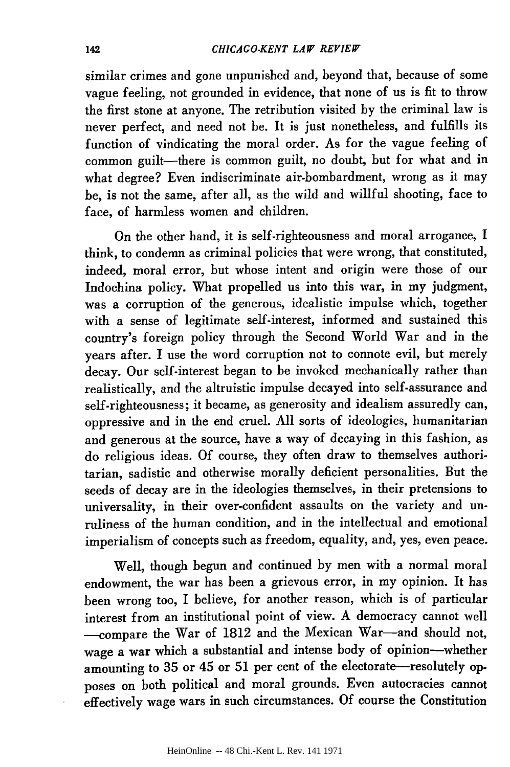similar crimes and gone unpunished and, beyond that, because of some vague feeling, not grounded in evidence, that none of us is fit to throw the first stone at anyone. The retribution visited by the criminal law is never perfect, and need not be. It is just nonetheless, and fulfills its function of vindicating the moral order. As for the vague feeling of common guilt-there is common guilt, no doubt, but for what and in what degree? Even indiscriminate air-bombardment, wrong as it may be, is not the same, after all, as the wild and willful shooting, face to face, of harmless women and children.

On the other hand, it is self-righteousness and moral arrogance, I think, to condemn as criminal policies that were wrong, that constituted, indeed, moral error, but whose intent and origin were those of our Indochina policy. What propelled us into this war, in my judgment, was a corruption of the generous, idealistic impulse which, together with a sense of legitimate self-interest, informed and sustained this country's foreign policy through the Second World War and in the years after. I use the word corruption not to connote evil, but merely decay. Our self-interest began to be invoked mechanically rather than realistically, and the altruistic impulse decayed into self-assurance and self-righteousness; it became, as generosity and idealism assuredly can, oppressive and in the end cruel. All sorts of ideologies, humanitarian and generous at the source, have a way of decaying in this fashion, as do religious ideas. Of course, they often draw to themselves authoritarian, sadistic and otherwise morally deficient personalities. But the seeds of decay are in the ideologies themselves, in their pretensions to universality, in their over-confident assaults on the variety and unruliness of the human condition, and in the intellectual and emotional imperialism of concepts such as freedom, equality, and, yes, even peace.

Well, though begun and continued by men with a normal moral endowment, the war has been a grievous error, in my opinion. It has been wrong too, I believe, for another reason, which is of particular interest from an institutional point of view. A democracy cannot well -compare the War of 1812 and the Mexican War-and should not, wage a war which a substantial and intense body of opinion-whether amounting to 35 or 45 or 51 per cent of the electorate-resolutely opposes on both political and moral grounds. Even autocracies cannot effectively wage wars in such circumstances. Of course the Constitution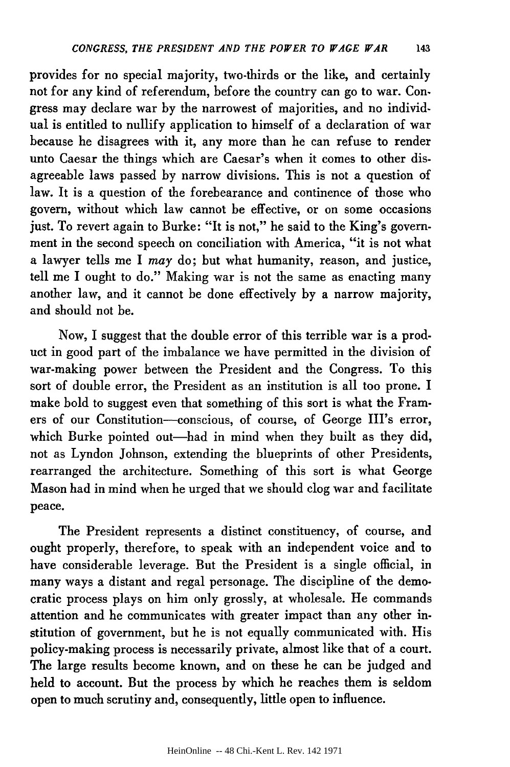provides for no special majority, two-thirds or the like, and certainly not for any kind of referendum, before the country can go to war. Con. gress may declare war by the narrowest of majorities, and no individual is entitled to nullify application to himself of a declaration of war because he disagrees with it, any more than he can refuse to render unto Caesar the things which are Caesar's when it comes to other disagreeable laws passed by narrow divisions. This is not a question of law. It is a question of the forebearance and continence of those who govern, without which law cannot be effective, or on some occasions just. To revert again to Burke: "It is not," he said to the King's government in the second speech on conciliation with America, "it is not what a lawyer tells me I *may* do; but what humanity, reason, and justice, tell me I ought to do." Making war is not the same as enacting many another law, and it cannot be done effectively by a narrow majority, and should not be.

Now, I suggest that the double error of this terrible war is a product in good part of the imbalance we have permitted in the division of war-making power between the President and the Congress. To this sort of double error, the President as an institution is all too prone. I make bold to suggest even that something of this sort is what the Framers of our Constitution-conscious, of course, of George III's error, which Burke pointed out-had in mind when they built as they did, not as Lyndon Johnson, extending the blueprints of other Presidents, rearranged the architecture. Something of this sort is what George Mason had in mind when he urged that we should clog war and facilitate peace.

The President represents a distinct constituency, of course, and ought properly, therefore, to speak with an independent voice and to have considerable leverage. But the President is a single official, in many ways a distant and regal personage. The discipline of the democratic process plays on him only grossly, at wholesale. He commands attention and he communicates with greater impact than any other institution of government, but he is not equally communicated with. His policy-making process is necessarily private, almost like that of a court. The large results become known, and on these he can be judged and held to account. But the process by which he reaches them is seldom open to much scrutiny and, consequently, little open to influence.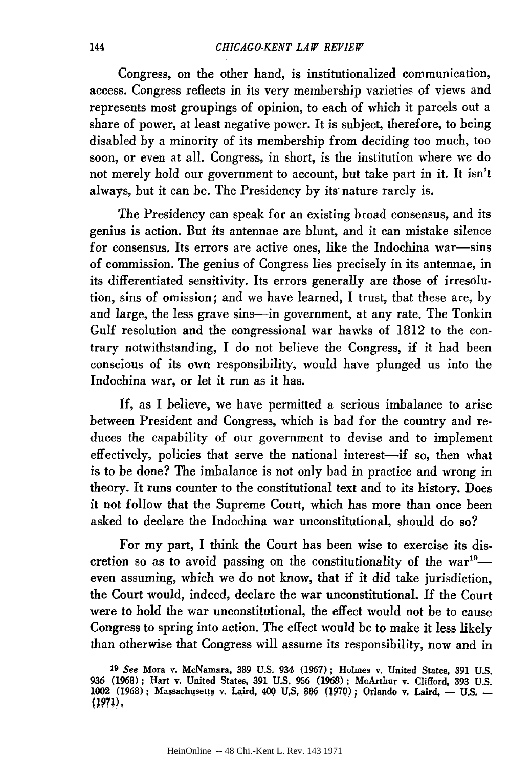Congress, on the other hand, is institutionalized communication, access. Congress reflects in its very membership varieties of views and represents most groupings of opinion, to each of which it parcels out a share of power, at least negative power. It is subject, therefore, to being disabled by a minority of its membership from deciding too much, too soon, or even at all. Congress, in short, is the institution where we do not merely hold our government to account, but take part in it. It isn't always, but it can be. The Presidency by its nature rarely is.

The Presidency can speak for an existing broad consensus, and its genius is action. But its antennae are blunt, and it can mistake silence for consensus. Its errors are active ones, like the Indochina war-sins of commission. The genius of Congress lies precisely in its antennae, in its differentiated sensitivity. Its errors generally are those of irresolution, sins of omission; and we have learned, I trust, that these are, by and large, the less grave sins-in government, at any rate. The Tonkin Gulf resolution and the congressional war hawks of 1812 to the contrary notwithstanding, I do not believe the Congress, if it had been conscious of its own responsibility, would have plunged us into the Indochina war, or let it run as it has.

If, as I believe, we have permitted a serious imbalance to arise between President and Congress, which is bad for the country and reduces the capability of our government to devise and to implement effectively, policies that serve the national interest-if so, then what is to be done? The imbalance is not only bad in practice and wrong in theory. It runs counter to the constitutional text and to its history. Does it not follow that the Supreme Court, which has more than once been asked to declare the Indochina war unconstitutional, should do so?

For my part, I think the Court has been wise to exercise its discretion so as to avoid passing on the constitutionality of the war<sup>19</sup>even assuming, which we do not know, that if it did take jurisdiction, the Court would, indeed, declare the war unconstitutional. If the Court were to hold the war unconstitutional, the effect would not be to cause Congress to spring into action. The effect would be to make it less likely than otherwise that Congress will assume its responsibility, now and in

**<sup>19</sup>***See* Mora v. McNamara, **389 U.S.** 934 **(1967);** Holmes v. United States, 391 **U.S.** 936 (1968); Hart v. United States, 391 **U.S.** 956 (1968); McArthur v. Clifford, 393 U.S. 1002 **(1968);** Massachusetts v. Laird, 400 **U.S, 886 (1970); Orlando** v, Laird, - **U.S. -**  $(1971)$ .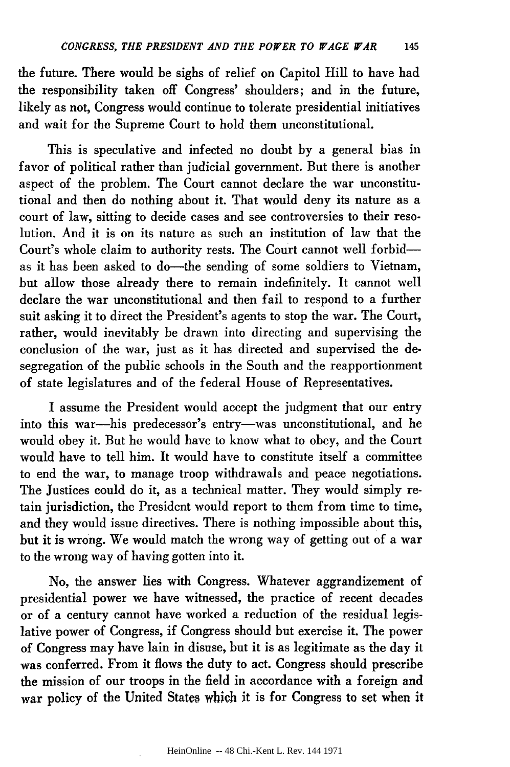the future. There would be sighs of relief on Capitol Hill to have had the responsibility taken off Congress' shoulders; and in the future, likely as not, Congress would continue to tolerate presidential initiatives and wait for the Supreme Court to hold them unconstitutional.

This is speculative and infected no doubt by a general bias in favor of political rather than judicial government. But there is another aspect of the problem. The Court cannot declare the war unconstitutional and then do nothing about it. That would deny its nature as a court of law, sitting to decide cases and see controversies to their resolution. And it is on its nature as such an institution of law that the Court's whole claim to authority rests. The Court cannot well forbidas it has been asked to do-the sending of some soldiers to Vietnam, but allow those already there to remain indefinitely. It cannot well declare the war unconstitutional and then fail to respond to a further suit asking it to direct the President's agents to stop the war. The Court, rather, would inevitably be drawn into directing and supervising the conclusion of the war, just as it has directed and supervised the desegregation of the public schools in the South and the reapportionment of state legislatures and of the federal House of Representatives.

I assume the President would accept the judgment that our entry into this war-his predecessor's entry-was unconstitutional, and he would obey it. But he would have to know what to obey, and the Court would have to tell him. It would have to constitute itself a committee to end the war, to manage troop withdrawals and peace negotiations. The Justices could do it, as a technical matter. They would simply retain jurisdiction, the President would report to them from time to time, and they would issue directives. There is nothing impossible about this, but it is wrong. We would match the wrong way of getting out of a war to the wrong way of having gotten into it.

No, the answer lies with Congress. Whatever aggrandizement of presidential power we have witnessed, the practice of recent decades or of a century cannot have worked a reduction of the residual legislative power of Congress, if Congress should but exercise it. The power of Congress may have lain in disuse, but it is as legitimate as the day it was conferred. From it flows the duty to act. Congress should prescribe the mission of our troops in the field in accordance with a foreign and war policy of the United States which it is for Congress to set when it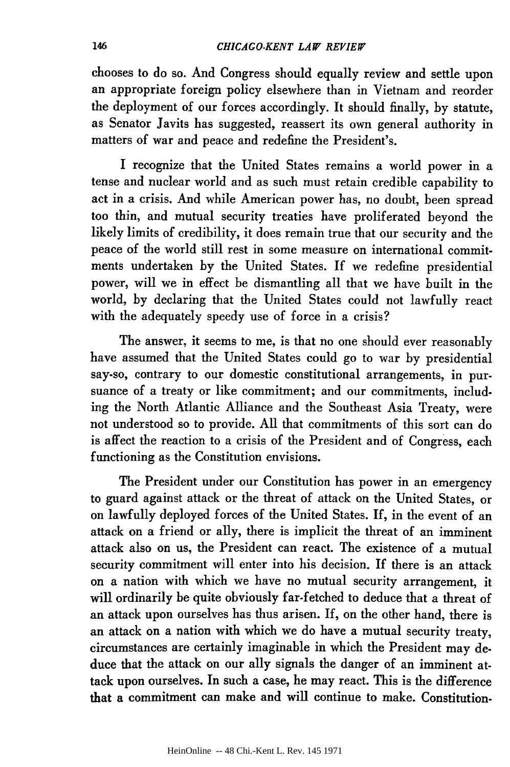chooses to do so. And Congress should equally review and settle upon an appropriate foreign policy elsewhere than in Vietnam and reorder the deployment of our forces accordingly. It should finally, by statute, as Senator Javits has suggested, reassert its own general authority in matters of war and peace and redefine the President's.

I recognize that the United States remains a world power in a tense and nuclear world and as such must retain credible capability to act in a crisis. And while American power has, no doubt, been spread too thin, and mutual security treaties have proliferated beyond the likely limits of credibility, it does remain true that our security and the peace of the world still rest in some measure on international commitments undertaken by the United States. If we redefine presidential power, will we in effect be dismantling all that we have built in the world, by declaring that the United States could not lawfully react with the adequately speedy use of force in a crisis?

The answer, it seems to me, is that no one should ever reasonably have assumed that the United States could go to war by presidential say-so, contrary to our domestic constitutional arrangements, in pursuance of a treaty or like commitment; and our commitments, including the North Atlantic Alliance and the Southeast Asia Treaty, were not understood so to provide. **All** that commitments of this sort can do is affect the reaction to a crisis of the President and of Congress, each functioning as the Constitution envisions.

The President under our Constitution has power in an emergency to guard against attack or the threat of attack on the United States, or on lawfully deployed forces of the United States. If, in the event of an attack on a friend or ally, there is implicit the threat of an imminent attack also on us, the President can react. The existence of a mutual security commitment will enter into his decision. If there is an attack on a nation with which we have no mutual security arrangement, it will ordinarily be quite obviously far-fetched to deduce that a threat of an attack upon ourselves has thus arisen. If, on the other hand, there is an attack on a nation with which we do have a mutual security treaty, circumstances are certainly imaginable in which the President may deduce that the attack on our ally signals the danger of an imminent attack upon ourselves. In such a case, he may react. This is the difference that a commitment can make and will continue to make. Constitution-